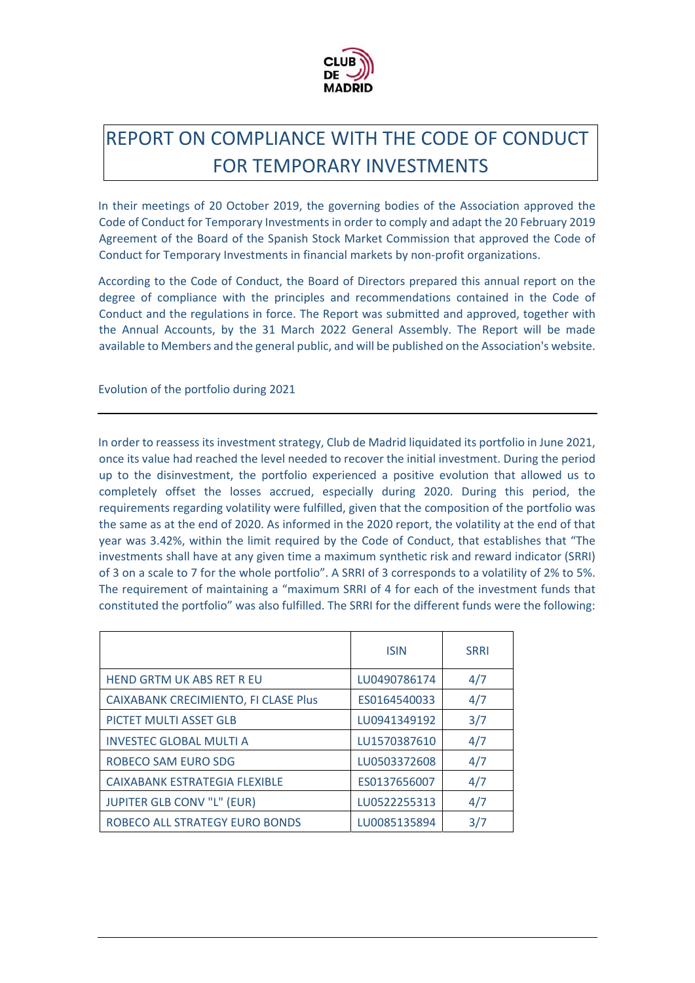

## REPORT ON COMPLIANCE WITH THE CODE OF CONDUCT FOR TEMPORARY INVESTMENTS

In their meetings of 20 October 2019, the governing bodies of the Association approved the Code of Conduct for Temporary Investments in order to comply and adapt the 20 February 2019 Agreement of the Board of the Spanish Stock Market Commission that approved the Code of Conduct for Temporary Investments in financial markets by non‐profit organizations.

According to the Code of Conduct, the Board of Directors prepared this annual report on the degree of compliance with the principles and recommendations contained in the Code of Conduct and the regulations in force. The Report was submitted and approved, together with the Annual Accounts, by the 31 March 2022 General Assembly. The Report will be made available to Members and the general public, and will be published on the Association's website.

Evolution of the portfolio during 2021

In order to reassess its investment strategy, Club de Madrid liquidated its portfolio in June 2021, once its value had reached the level needed to recover the initial investment. During the period up to the disinvestment, the portfolio experienced a positive evolution that allowed us to completely offset the losses accrued, especially during 2020. During this period, the requirements regarding volatility were fulfilled, given that the composition of the portfolio was the same as at the end of 2020. As informed in the 2020 report, the volatility at the end of that year was 3.42%, within the limit required by the Code of Conduct, that establishes that "The investments shall have at any given time a maximum synthetic risk and reward indicator (SRRI) of 3 on a scale to 7 for the whole portfolio". A SRRI of 3 corresponds to a volatility of 2% to 5%. The requirement of maintaining a "maximum SRRI of 4 for each of the investment funds that constituted the portfolio" was also fulfilled. The SRRI for the different funds were the following:

|                                      | <b>ISIN</b>  | <b>SRRI</b> |
|--------------------------------------|--------------|-------------|
| <b>HEND GRTM UK ABS RET R EU</b>     | LU0490786174 | 4/7         |
| CAIXABANK CRECIMIENTO, FI CLASE Plus | ES0164540033 | 4/7         |
| PICTET MULTI ASSET GLB               | LU0941349192 | 3/7         |
| <b>INVESTEC GLOBAL MULTI A</b>       | LU1570387610 | 4/7         |
| ROBECO SAM EURO SDG                  | LU0503372608 | 4/7         |
| CAIXABANK ESTRATEGIA FLEXIBLE        | ES0137656007 | 4/7         |
| <b>JUPITER GLB CONV "L" (EUR)</b>    | LU0522255313 | 4/7         |
| ROBECO ALL STRATEGY EURO BONDS       | LU0085135894 | 3/7         |